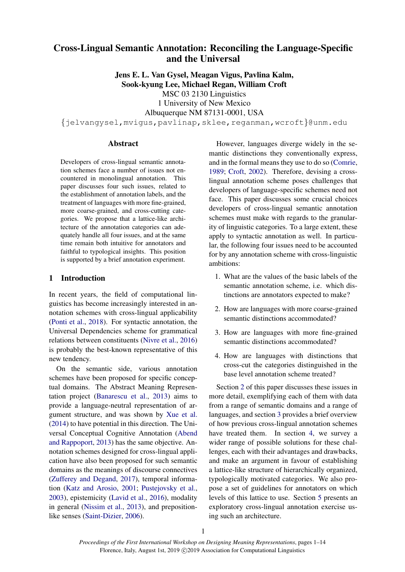# Cross-Lingual Semantic Annotation: Reconciling the Language-Specific and the Universal

Jens E. L. Van Gysel, Meagan Vigus, Pavlina Kalm, Sook-kyung Lee, Michael Regan, William Croft

MSC 03 2130 Linguistics

1 University of New Mexico

Albuquerque NM 87131-0001, USA

{jelvangysel,mvigus,pavlinap,sklee,reganman,wcroft}@unm.edu

#### **Abstract**

Developers of cross-lingual semantic annotation schemes face a number of issues not encountered in monolingual annotation. This paper discusses four such issues, related to the establishment of annotation labels, and the treatment of languages with more fine-grained, more coarse-grained, and cross-cutting categories. We propose that a lattice-like architecture of the annotation categories can adequately handle all four issues, and at the same time remain both intuitive for annotators and faithful to typological insights. This position is supported by a brief annotation experiment.

## 1 Introduction

In recent years, the field of computational linguistics has become increasingly interested in annotation schemes with cross-lingual applicability (Ponti et al., 2018). For syntactic annotation, the Universal Dependencies scheme for grammatical relations between constituents (Nivre et al., 2016) is probably the best-known representative of this new tendency.

On the semantic side, various annotation schemes have been proposed for specific conceptual domains. The Abstract Meaning Representation project (Banarescu et al., 2013) aims to provide a language-neutral representation of argument structure, and was shown by Xue et al. (2014) to have potential in this direction. The Universal Conceptual Cognitive Annotation (Abend and Rappoport, 2013) has the same objective. Annotation schemes designed for cross-lingual application have also been proposed for such semantic domains as the meanings of discourse connectives (Zufferey and Degand, 2017), temporal information (Katz and Arosio, 2001; Pustejovsky et al., 2003), epistemicity (Lavid et al., 2016), modality in general (Nissim et al., 2013), and prepositionlike senses (Saint-Dizier, 2006).

However, languages diverge widely in the semantic distinctions they conventionally express, and in the formal means they use to do so (Comrie, 1989; Croft, 2002). Therefore, devising a crosslingual annotation scheme poses challenges that developers of language-specific schemes need not face. This paper discusses some crucial choices developers of cross-lingual semantic annotation schemes must make with regards to the granularity of linguistic categories. To a large extent, these apply to syntactic annotation as well. In particular, the following four issues need to be accounted for by any annotation scheme with cross-linguistic ambitions:

- 1. What are the values of the basic labels of the semantic annotation scheme, i.e. which distinctions are annotators expected to make?
- 2. How are languages with more coarse-grained semantic distinctions accommodated?
- 3. How are languages with more fine-grained semantic distinctions accommodated?
- 4. How are languages with distinctions that cross-cut the categories distinguished in the base level annotation scheme treated?

Section 2 of this paper discusses these issues in more detail, exemplifying each of them with data from a range of semantic domains and a range of languages, and section 3 provides a brief overview of how previous cross-lingual annotation schemes have treated them. In section 4, we survey a wider range of possible solutions for these challenges, each with their advantages and drawbacks, and make an argument in favour of establishing a lattice-like structure of hierarchically organized, typologically motivated categories. We also propose a set of guidelines for annotators on which levels of this lattice to use. Section 5 presents an exploratory cross-lingual annotation exercise using such an architecture.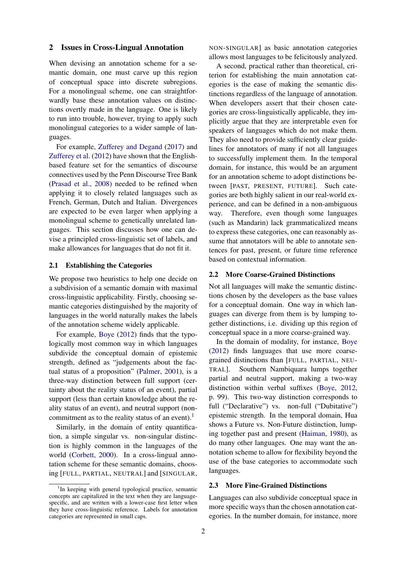#### 2 Issues in Cross-Lingual Annotation

When devising an annotation scheme for a semantic domain, one must carve up this region of conceptual space into discrete subregions. For a monolingual scheme, one can straightforwardly base these annotation values on distinctions overtly made in the language. One is likely to run into trouble, however, trying to apply such monolingual categories to a wider sample of languages.

For example, Zufferey and Degand (2017) and Zufferey et al. (2012) have shown that the Englishbased feature set for the semantics of discourse connectives used by the Penn Discourse Tree Bank (Prasad et al., 2008) needed to be refined when applying it to closely related languages such as French, German, Dutch and Italian. Divergences are expected to be even larger when applying a monolingual scheme to genetically unrelated languages. This section discusses how one can devise a principled cross-linguistic set of labels, and make allowances for languages that do not fit it.

### 2.1 Establishing the Categories

We propose two heuristics to help one decide on a subdivision of a semantic domain with maximal cross-linguistic applicability. Firstly, choosing semantic categories distinguished by the majority of languages in the world naturally makes the labels of the annotation scheme widely applicable.

For example, Boye (2012) finds that the typologically most common way in which languages subdivide the conceptual domain of epistemic strength, defined as "judgements about the factual status of a proposition" (Palmer, 2001), is a three-way distinction between full support (certainty about the reality status of an event), partial support (less than certain knowledge about the reality status of an event), and neutral support (noncommitment as to the reality status of an event).<sup>1</sup>

Similarly, in the domain of entity quantification, a simple singular vs. non-singular distinction is highly common in the languages of the world (Corbett, 2000). In a cross-lingual annotation scheme for these semantic domains, choosing [FULL, PARTIAL, NEUTRAL] and [SINGULAR, NON-SINGULAR] as basic annotation categories allows most languages to be felicitously analyzed.

A second, practical rather than theoretical, criterion for establishing the main annotation categories is the ease of making the semantic distinctions regardless of the language of annotation. When developers assert that their chosen categories are cross-linguistically applicable, they implicitly argue that they are interpretable even for speakers of languages which do not make them. They also need to provide sufficiently clear guidelines for annotators of many if not all languages to successfully implement them. In the temporal domain, for instance, this would be an argument for an annotation scheme to adopt distinctions between [PAST, PRESENT, FUTURE]. Such categories are both highly salient in our real-world experience, and can be defined in a non-ambiguous way. Therefore, even though some languages (such as Mandarin) lack grammaticalized means to express these categories, one can reasonably assume that annotators will be able to annotate sentences for past, present, or future time reference based on contextual information.

#### 2.2 More Coarse-Grained Distinctions

Not all languages will make the semantic distinctions chosen by the developers as the base values for a conceptual domain. One way in which languages can diverge from them is by lumping together distinctions, i.e. dividing up this region of conceptual space in a more coarse-grained way.

In the domain of modality, for instance, Boye (2012) finds languages that use more coarsegrained distinctions than [FULL, PARTIAL, NEU-TRAL]. Southern Nambiquara lumps together partial and neutral support, making a two-way distinction within verbal suffixes (Boye, 2012, p. 99). This two-way distinction corresponds to full ("Declarative") vs. non-full ("Dubitative") epistemic strength. In the temporal domain, Hua shows a Future vs. Non-Future distinction, lumping together past and present (Haiman, 1980), as do many other languages. One may want the annotation scheme to allow for flexibility beyond the use of the base categories to accommodate such languages.

#### 2.3 More Fine-Grained Distinctions

Languages can also subdivide conceptual space in more specific ways than the chosen annotation categories. In the number domain, for instance, more

<sup>&</sup>lt;sup>1</sup>In keeping with general typological practice, semantic concepts are capitalized in the text when they are languagespecific, and are written with a lower-case first letter when they have cross-linguistic reference. Labels for annotation categories are represented in small caps.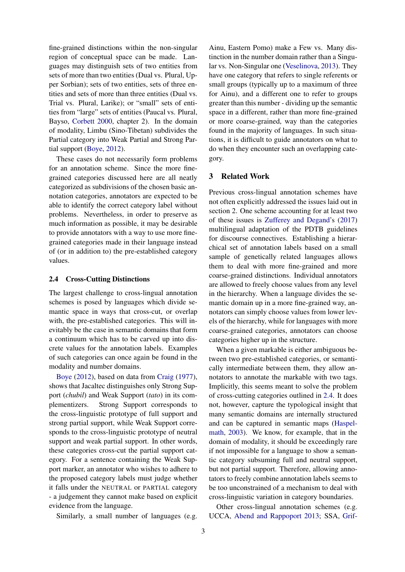fine-grained distinctions within the non-singular region of conceptual space can be made. Languages may distinguish sets of two entities from sets of more than two entities (Dual vs. Plural, Upper Sorbian); sets of two entities, sets of three entities and sets of more than three entities (Dual vs. Trial vs. Plural, Larike); or "small" sets of entities from "large" sets of entities (Paucal vs. Plural, Bayso, Corbett 2000, chapter 2). In the domain of modality, Limbu (Sino-Tibetan) subdivides the Partial category into Weak Partial and Strong Partial support (Boye, 2012).

These cases do not necessarily form problems for an annotation scheme. Since the more finegrained categories discussed here are all neatly categorized as subdivisions of the chosen basic annotation categories, annotators are expected to be able to identify the correct category label without problems. Nevertheless, in order to preserve as much information as possible, it may be desirable to provide annotators with a way to use more finegrained categories made in their language instead of (or in addition to) the pre-established category values.

#### 2.4 Cross-Cutting Distinctions

The largest challenge to cross-lingual annotation schemes is posed by languages which divide semantic space in ways that cross-cut, or overlap with, the pre-established categories. This will inevitably be the case in semantic domains that form a continuum which has to be carved up into discrete values for the annotation labels. Examples of such categories can once again be found in the modality and number domains.

Boye (2012), based on data from Craig (1977), shows that Jacaltec distinguishes only Strong Support (*chubil*) and Weak Support (*tato*) in its complementizers. Strong Support corresponds to the cross-linguistic prototype of full support and strong partial support, while Weak Support corresponds to the cross-linguistic prototype of neutral support and weak partial support. In other words, these categories cross-cut the partial support category. For a sentence containing the Weak Support marker, an annotator who wishes to adhere to the proposed category labels must judge whether it falls under the NEUTRAL or PARTIAL category - a judgement they cannot make based on explicit evidence from the language.

Similarly, a small number of languages (e.g.

Ainu, Eastern Pomo) make a Few vs. Many distinction in the number domain rather than a Singular vs. Non-Singular one (Veselinova, 2013). They have one category that refers to single referents or small groups (typically up to a maximum of three for Ainu), and a different one to refer to groups greater than this number - dividing up the semantic space in a different, rather than more fine-grained or more coarse-grained, way than the categories found in the majority of languages. In such situations, it is difficult to guide annotators on what to do when they encounter such an overlapping category.

### 3 Related Work

Previous cross-lingual annotation schemes have not often explicitly addressed the issues laid out in section 2. One scheme accounting for at least two of these issues is Zufferey and Degand's (2017) multilingual adaptation of the PDTB guidelines for discourse connectives. Establishing a hierarchical set of annotation labels based on a small sample of genetically related languages allows them to deal with more fine-grained and more coarse-grained distinctions. Individual annotators are allowed to freely choose values from any level in the hierarchy. When a language divides the semantic domain up in a more fine-grained way, annotators can simply choose values from lower levels of the hierarchy, while for languages with more coarse-grained categories, annotators can choose categories higher up in the structure.

When a given markable is either ambiguous between two pre-established categories, or semantically intermediate between them, they allow annotators to annotate the markable with two tags. Implicitly, this seems meant to solve the problem of cross-cutting categories outlined in 2.4. It does not, however, capture the typological insight that many semantic domains are internally structured and can be captured in semantic maps (Haspelmath, 2003). We know, for example, that in the domain of modality, it should be exceedingly rare if not impossible for a language to show a semantic category subsuming full and neutral support, but not partial support. Therefore, allowing annotators to freely combine annotation labels seems to be too unconstrained of a mechanism to deal with cross-linguistic variation in category boundaries.

Other cross-lingual annotation schemes (e.g. UCCA, Abend and Rappoport 2013; SSA, Grif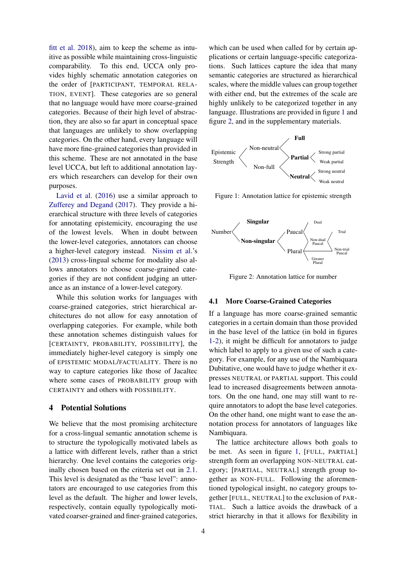fitt et al. 2018), aim to keep the scheme as intuitive as possible while maintaining cross-linguistic comparability. To this end, UCCA only provides highly schematic annotation categories on the order of [PARTICIPANT, TEMPORAL RELA-TION, EVENT]. These categories are so general that no language would have more coarse-grained categories. Because of their high level of abstraction, they are also so far apart in conceptual space that languages are unlikely to show overlapping categories. On the other hand, every language will have more fine-grained categories than provided in this scheme. These are not annotated in the base level UCCA, but left to additional annotation layers which researchers can develop for their own purposes.

Lavid et al. (2016) use a similar approach to Zufferey and Degand (2017). They provide a hierarchical structure with three levels of categories for annotating epistemicity, encouraging the use of the lowest levels. When in doubt between the lower-level categories, annotators can choose a higher-level category instead. Nissim et al.'s (2013) cross-lingual scheme for modality also allows annotators to choose coarse-grained categories if they are not confident judging an utterance as an instance of a lower-level category.

While this solution works for languages with coarse-grained categories, strict hierarchical architectures do not allow for easy annotation of overlapping categories. For example, while both these annotation schemes distinguish values for [CERTAINTY, PROBABILITY, POSSIBILITY], the immediately higher-level category is simply one of EPISTEMIC MODAL/FACTUALITY. There is no way to capture categories like those of Jacaltec where some cases of PROBABILITY group with CERTAINTY and others with POSSIBILITY.

#### 4 Potential Solutions

We believe that the most promising architecture for a cross-lingual semantic annotation scheme is to structure the typologically motivated labels as a lattice with different levels, rather than a strict hierarchy. One level contains the categories originally chosen based on the criteria set out in 2.1. This level is designated as the "base level": annotators are encouraged to use categories from this level as the default. The higher and lower levels, respectively, contain equally typologically motivated coarser-grained and finer-grained categories,

which can be used when called for by certain applications or certain language-specific categorizations. Such lattices capture the idea that many semantic categories are structured as hierarchical scales, where the middle values can group together with either end, but the extremes of the scale are highly unlikely to be categorized together in any language. Illustrations are provided in figure 1 and figure 2, and in the supplementary materials.



Figure 1: Annotation lattice for epistemic strength



Figure 2: Annotation lattice for number

### 4.1 More Coarse-Grained Categories

If a language has more coarse-grained semantic categories in a certain domain than those provided in the base level of the lattice (in bold in figures 1-2), it might be difficult for annotators to judge which label to apply to a given use of such a category. For example, for any use of the Nambiquara Dubitative, one would have to judge whether it expresses NEUTRAL or PARTIAL support. This could lead to increased disagreements between annotators. On the one hand, one may still want to require annotators to adopt the base level categories. On the other hand, one might want to ease the annotation process for annotators of languages like Nambiquara.

The lattice architecture allows both goals to be met. As seen in figure 1, [FULL, PARTIAL] strength form an overlapping NON-NEUTRAL category; [PARTIAL, NEUTRAL] strength group together as NON-FULL. Following the aforementioned typological insight, no category groups together [FULL, NEUTRAL] to the exclusion of PAR-TIAL. Such a lattice avoids the drawback of a strict hierarchy in that it allows for flexibility in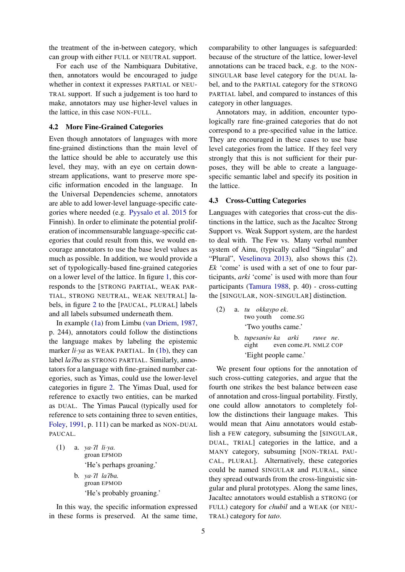the treatment of the in-between category, which can group with either FULL or NEUTRAL support.

For each use of the Nambiquara Dubitative, then, annotators would be encouraged to judge whether in context it expresses PARTIAL or NEU-TRAL support. If such a judgement is too hard to make, annotators may use higher-level values in the lattice, in this case NON-FULL.

#### 4.2 More Fine-Grained Categories

Even though annotators of languages with more fine-grained distinctions than the main level of the lattice should be able to accurately use this level, they may, with an eye on certain downstream applications, want to preserve more specific information encoded in the language. In the Universal Dependencies scheme, annotators are able to add lower-level language-specific categories where needed (e.g. Pyysalo et al. 2015 for Finnish). In order to eliminate the potential proliferation of incommensurable language-specific categories that could result from this, we would encourage annotators to use the base level values as much as possible. In addition, we would provide a set of typologically-based fine-grained categories on a lower level of the lattice. In figure 1, this corresponds to the [STRONG PARTIAL, WEAK PAR-TIAL, STRONG NEUTRAL, WEAK NEUTRAL] labels, in figure 2 to the [PAUCAL, PLURAL] labels and all labels subsumed underneath them.

In example (1a) from Limbu (van Driem, 1987, p. 244), annotators could follow the distinctions the language makes by labeling the epistemic marker *li*·*ya* as WEAK PARTIAL. In (1b), they can label *la?ba* as STRONG PARTIAL. Similarly, annotators for a language with fine-grained number categories, such as Yimas, could use the lower-level categories in figure 2. The Yimas Dual, used for reference to exactly two entities, can be marked as DUAL. The Yimas Paucal (typically used for reference to sets containing three to seven entities, Foley, 1991, p. 111) can be marked as NON-DUAL PAUCAL.

- (1) a. *ya*·P*l li*·*ya.* groan EPMOD 'He's perhaps groaning.' b. *ya*·P*l la*P*ba.* groan EPMOD
	- 'He's probably groaning.'

In this way, the specific information expressed in these forms is preserved. At the same time,

comparability to other languages is safeguarded: because of the structure of the lattice, lower-level annotations can be traced back, e.g. to the NON-SINGULAR base level category for the DUAL label, and to the PARTIAL category for the STRONG PARTIAL label, and compared to instances of this category in other languages.

Annotators may, in addition, encounter typologically rare fine-grained categories that do not correspond to a pre-specified value in the lattice. They are encouraged in these cases to use base level categories from the lattice. If they feel very strongly that this is not sufficient for their purposes, they will be able to create a languagespecific semantic label and specify its position in the lattice.

### 4.3 Cross-Cutting Categories

Languages with categories that cross-cut the distinctions in the lattice, such as the Jacaltec Strong Support vs. Weak Support system, are the hardest to deal with. The Few vs. Many verbal number system of Ainu, (typically called "Singular" and "Plural", Veselinova 2013), also shows this (2). *Ek* 'come' is used with a set of one to four participants, *arki* 'come' is used with more than four participants (Tamura 1988, p. 40) - cross-cutting the [SINGULAR, NON-SINGULAR] distinction.

- (2) a. *tu okkaypo ek*. two youth come.SG 'Two youths came.'
	- b. *tupesaniw ka arki* eight even come.PL NMLZ COP *ruwe ne*. 'Eight people came.'

We present four options for the annotation of such cross-cutting categories, and argue that the fourth one strikes the best balance between ease of annotation and cross-lingual portability. Firstly, one could allow annotators to completely follow the distinctions their language makes. This would mean that Ainu annotators would establish a FEW category, subsuming the [SINGULAR, DUAL, TRIAL] categories in the lattice, and a MANY category, subsuming [NON-TRIAL PAU-CAL, PLURAL]. Alternatively, these categories could be named SINGULAR and PLURAL, since they spread outwards from the cross-linguistic singular and plural prototypes. Along the same lines, Jacaltec annotators would establish a STRONG (or FULL) category for *chubil* and a WEAK (or NEU-TRAL) category for *tato*.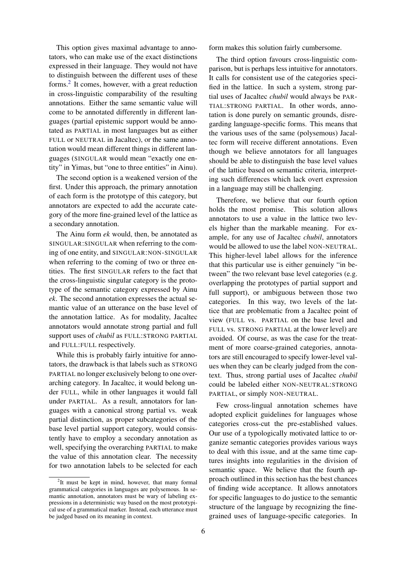This option gives maximal advantage to annotators, who can make use of the exact distinctions expressed in their language. They would not have to distinguish between the different uses of these forms.2 It comes, however, with a great reduction in cross-linguistic comparability of the resulting annotations. Either the same semantic value will come to be annotated differently in different languages (partial epistemic support would be annotated as PARTIAL in most languages but as either FULL or NEUTRAL in Jacaltec), or the same annotation would mean different things in different languages (SINGULAR would mean "exactly one entity" in Yimas, but "one to three entities" in Ainu).

The second option is a weakened version of the first. Under this approach, the primary annotation of each form is the prototype of this category, but annotators are expected to add the accurate category of the more fine-grained level of the lattice as a secondary annotation.

The Ainu form *ek* would, then, be annotated as SINGULAR:SINGULAR when referring to the coming of one entity, and SINGULAR:NON-SINGULAR when referring to the coming of two or three entities. The first SINGULAR refers to the fact that the cross-linguistic singular category is the prototype of the semantic category expressed by Ainu *ek*. The second annotation expresses the actual semantic value of an utterance on the base level of the annotation lattice. As for modality, Jacaltec annotators would annotate strong partial and full support uses of *chubil* as FULL:STRONG PARTIAL and FULL:FULL respectively.

While this is probably fairly intuitive for annotators, the drawback is that labels such as STRONG PARTIAL no longer exclusively belong to one overarching category. In Jacaltec, it would belong under FULL, while in other languages it would fall under PARTIAL. As a result, annotators for languages with a canonical strong partial vs. weak partial distinction, as proper subcategories of the base level partial support category, would consistently have to employ a secondary annotation as well, specifying the overarching PARTIAL to make the value of this annotation clear. The necessity for two annotation labels to be selected for each form makes this solution fairly cumbersome.

The third option favours cross-linguistic comparison, but is perhaps less intuitive for annotators. It calls for consistent use of the categories specified in the lattice. In such a system, strong partial uses of Jacaltec *chubil* would always be PAR-TIAL:STRONG PARTIAL. In other words, annotation is done purely on semantic grounds, disregarding language-specific forms. This means that the various uses of the same (polysemous) Jacaltec form will receive different annotations. Even though we believe annotators for all languages should be able to distinguish the base level values of the lattice based on semantic criteria, interpreting such differences which lack overt expression in a language may still be challenging.

Therefore, we believe that our fourth option holds the most promise. This solution allows annotators to use a value in the lattice two levels higher than the markable meaning. For example, for any use of Jacaltec *chubil*, annotators would be allowed to use the label NON-NEUTRAL. This higher-level label allows for the inference that this particular use is either genuinely "in between" the two relevant base level categories (e.g. overlapping the prototypes of partial support and full support), or ambiguous between those two categories. In this way, two levels of the lattice that are problematic from a Jacaltec point of view (FULL vs. PARTIAL on the base level and FULL vs. STRONG PARTIAL at the lower level) are avoided. Of course, as was the case for the treatment of more coarse-grained categories, annotators are still encouraged to specify lower-level values when they can be clearly judged from the context. Thus, strong partial uses of Jacaltec *chubil* could be labeled either NON-NEUTRAL:STRONG PARTIAL, or simply NON-NEUTRAL.

Few cross-lingual annotation schemes have adopted explicit guidelines for languages whose categories cross-cut the pre-established values. Our use of a typologically motivated lattice to organize semantic categories provides various ways to deal with this issue, and at the same time captures insights into regularities in the division of semantic space. We believe that the fourth approach outlined in this section has the best chances of finding wide acceptance. It allows annotators for specific languages to do justice to the semantic structure of the language by recognizing the finegrained uses of language-specific categories. In

 $2$ It must be kept in mind, however, that many formal grammatical categories in languages are polysemous. In semantic annotation, annotators must be wary of labeling expressions in a deterministic way based on the most prototypical use of a grammatical marker. Instead, each utterance must be judged based on its meaning in context.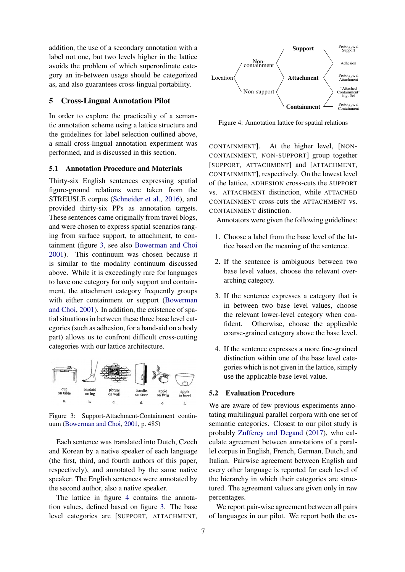addition, the use of a secondary annotation with a label not one, but two levels higher in the lattice avoids the problem of which superordinate category an in-between usage should be categorized as, and also guarantees cross-lingual portability.

## 5 Cross-Lingual Annotation Pilot

In order to explore the practicality of a semantic annotation scheme using a lattice structure and the guidelines for label selection outlined above, a small cross-lingual annotation experiment was performed, and is discussed in this section.

#### 5.1 Annotation Procedure and Materials

Thirty-six English sentences expressing spatial figure-ground relations were taken from the STREUSLE corpus (Schneider et al., 2016), and provided thirty-six PPs as annotation targets. These sentences came originally from travel blogs, and were chosen to express spatial scenarios ranging from surface support, to attachment, to containment (figure 3, see also Bowerman and Choi 2001). This continuum was chosen because it is similar to the modality continuum discussed above. While it is exceedingly rare for languages to have one category for only support and containment, the attachment category frequently groups with either containment or support (Bowerman and Choi, 2001). In addition, the existence of spatial situations in between these three base level categories (such as adhesion, for a band-aid on a body part) allows us to confront difficult cross-cutting categories with our lattice architecture.



Figure 3: Support-Attachment-Containment continuum (Bowerman and Choi, 2001, p. 485)

Each sentence was translated into Dutch, Czech and Korean by a native speaker of each language (the first, third, and fourth authors of this paper, respectively), and annotated by the same native speaker. The English sentences were annotated by the second author, also a native speaker.

The lattice in figure 4 contains the annotation values, defined based on figure 3. The base level categories are [SUPPORT, ATTACHMENT,



Figure 4: Annotation lattice for spatial relations

CONTAINMENT]. At the higher level, [NON-CONTAINMENT, NON-SUPPORT] group together [SUPPORT, ATTACHMENT] and [ATTACHMENT, CONTAINMENT], respectively. On the lowest level of the lattice, ADHESION cross-cuts the SUPPORT vs. ATTACHMENT distinction, while ATTACHED CONTAINMENT cross-cuts the ATTACHMENT vs. CONTAINMENT distinction.

Annotators were given the following guidelines:

- 1. Choose a label from the base level of the lattice based on the meaning of the sentence.
- 2. If the sentence is ambiguous between two base level values, choose the relevant overarching category.
- 3. If the sentence expresses a category that is in between two base level values, choose the relevant lower-level category when confident. Otherwise, choose the applicable coarse-grained category above the base level.
- 4. If the sentence expresses a more fine-grained distinction within one of the base level categories which is not given in the lattice, simply use the applicable base level value.

#### 5.2 Evaluation Procedure

We are aware of few previous experiments annotating multilingual parallel corpora with one set of semantic categories. Closest to our pilot study is probably Zufferey and Degand (2017), who calculate agreement between annotations of a parallel corpus in English, French, German, Dutch, and Italian. Pairwise agreement between English and every other language is reported for each level of the hierarchy in which their categories are structured. The agreement values are given only in raw percentages.

We report pair-wise agreement between all pairs of languages in our pilot. We report both the ex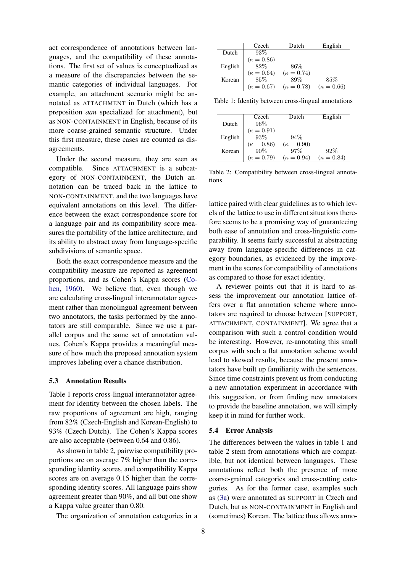act correspondence of annotations between languages, and the compatibility of these annotations. The first set of values is conceptualized as a measure of the discrepancies between the semantic categories of individual languages. For example, an attachment scenario might be annotated as ATTACHMENT in Dutch (which has a preposition *aan* specialized for attachment), but as NON-CONTAINMENT in English, because of its more coarse-grained semantic structure. Under this first measure, these cases are counted as disagreements.

Under the second measure, they are seen as compatible. Since ATTACHMENT is a subcategory of NON-CONTAINMENT, the Dutch annotation can be traced back in the lattice to NON-CONTAINMENT, and the two languages have equivalent annotations on this level. The difference between the exact correspondence score for a language pair and its compatibility score measures the portability of the lattice architecture, and its ability to abstract away from language-specific subdivisions of semantic space.

Both the exact correspondence measure and the compatibility measure are reported as agreement proportions, and as Cohen's Kappa scores (Cohen, 1960). We believe that, even though we are calculating cross-lingual interannotator agreement rather than monolingual agreement between two annotators, the tasks performed by the annotators are still comparable. Since we use a parallel corpus and the same set of annotation values, Cohen's Kappa provides a meaningful measure of how much the proposed annotation system improves labeling over a chance distribution.

#### 5.3 Annotation Results

Table 1 reports cross-lingual interannotator agreement for identity between the chosen labels. The raw proportions of agreement are high, ranging from 82% (Czech-English and Korean-English) to 93% (Czech-Dutch). The Cohen's Kappa scores are also acceptable (between 0.64 and 0.86).

As shown in table 2, pairwise compatibility proportions are on average 7% higher than the corresponding identity scores, and compatibility Kappa scores are on average 0.15 higher than the corresponding identity scores. All language pairs show agreement greater than 90%, and all but one show a Kappa value greater than 0.80.

The organization of annotation categories in a

|         | Czech             | Dutch             | English           |
|---------|-------------------|-------------------|-------------------|
| Dutch   | 93%               |                   |                   |
|         | $(\kappa = 0.86)$ |                   |                   |
| English | 82%               | 86%               |                   |
|         | $(\kappa = 0.64)$ | $(\kappa = 0.74)$ |                   |
| Korean  | 85%               | 89%               | 85%               |
|         | $(\kappa = 0.67)$ | $(\kappa = 0.78)$ | $(\kappa = 0.66)$ |

Table 1: Identity between cross-lingual annotations

|         | Czech                  | Dutch             | English           |
|---------|------------------------|-------------------|-------------------|
| Dutch   | 96%                    |                   |                   |
|         | $(\kappa=0.91)\\ 93\%$ |                   |                   |
| English |                        | 94%               |                   |
|         | $(\kappa=0.86)\\ 90\%$ | $(\kappa = 0.90)$ |                   |
| Korean  |                        | 97%               | 92%               |
|         | $(\kappa = 0.79)$      | $(\kappa = 0.94)$ | $(\kappa = 0.84)$ |

Table 2: Compatibility between cross-lingual annotations

lattice paired with clear guidelines as to which levels of the lattice to use in different situations therefore seems to be a promising way of guaranteeing both ease of annotation and cross-linguistic comparability. It seems fairly successful at abstracting away from language-specific differences in category boundaries, as evidenced by the improvement in the scores for compatibility of annotations as compared to those for exact identity.

A reviewer points out that it is hard to assess the improvement our annotation lattice offers over a flat annotation scheme where annotators are required to choose between [SUPPORT, ATTACHMENT, CONTAINMENT]. We agree that a comparison with such a control condition would be interesting. However, re-annotating this small corpus with such a flat annotation scheme would lead to skewed results, because the present annotators have built up familiarity with the sentences. Since time constraints prevent us from conducting a new annotation experiment in accordance with this suggestion, or from finding new annotators to provide the baseline annotation, we will simply keep it in mind for further work.

#### 5.4 Error Analysis

The differences between the values in table 1 and table 2 stem from annotations which are compatible, but not identical between languages. These annotations reflect both the presence of more coarse-grained categories and cross-cutting categories. As for the former case, examples such as (3a) were annotated as SUPPORT in Czech and Dutch, but as NON-CONTAINMENT in English and (sometimes) Korean. The lattice thus allows anno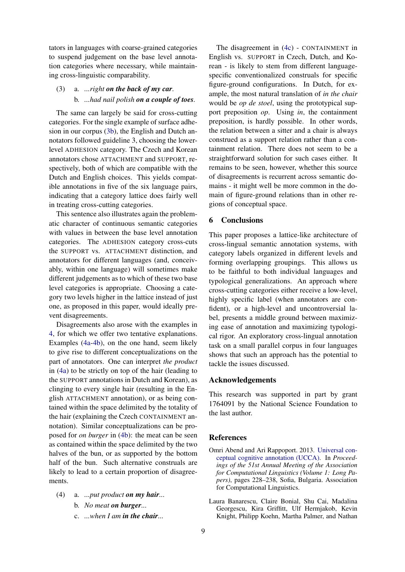tators in languages with coarse-grained categories to suspend judgement on the base level annotation categories where necessary, while maintaining cross-linguistic comparability.

## (3) a. *...right on the back of my car.* b. *...had nail polish on a couple of toes.*

The same can largely be said for cross-cutting categories. For the single example of surface adhesion in our corpus (3b), the English and Dutch annotators followed guideline 3, choosing the lowerlevel ADHESION category. The Czech and Korean annotators chose ATTACHMENT and SUPPORT, respectively, both of which are compatible with the Dutch and English choices. This yields compatible annotations in five of the six language pairs, indicating that a category lattice does fairly well in treating cross-cutting categories.

This sentence also illustrates again the problematic character of continuous semantic categories with values in between the base level annotation categories. The ADHESION category cross-cuts the SUPPORT vs. ATTACHMENT distinction, and annotators for different languages (and, conceivably, within one language) will sometimes make different judgements as to which of these two base level categories is appropriate. Choosing a category two levels higher in the lattice instead of just one, as proposed in this paper, would ideally prevent disagreements.

Disagreements also arose with the examples in 4, for which we offer two tentative explanations. Examples (4a-4b), on the one hand, seem likely to give rise to different conceptualizations on the part of annotators. One can interpret *the product* in (4a) to be strictly on top of the hair (leading to the SUPPORT annotations in Dutch and Korean), as clinging to every single hair (resulting in the English ATTACHMENT annotation), or as being contained within the space delimited by the totality of the hair (explaining the Czech CONTAINMENT annotation). Similar conceptualizations can be proposed for *on burger* in (4b): the meat can be seen as contained within the space delimited by the two halves of the bun, or as supported by the bottom half of the bun. Such alternative construals are likely to lead to a certain proportion of disagreements.

- (4) a. *...put product on my hair...*
	- b. *No meat on burger...*
	- c. *...when I am in the chair...*

The disagreement in (4c) - CONTAINMENT in English vs. SUPPORT in Czech, Dutch, and Korean - is likely to stem from different languagespecific conventionalized construals for specific figure-ground configurations. In Dutch, for example, the most natural translation of *in the chair* would be *op de stoel*, using the prototypical support preposition *op*. Using *in*, the containment preposition, is hardly possible. In other words, the relation between a sitter and a chair is always construed as a support relation rather than a containment relation. There does not seem to be a straightforward solution for such cases either. It remains to be seen, however, whether this source of disagreements is recurrent across semantic domains - it might well be more common in the domain of figure-ground relations than in other regions of conceptual space.

## 6 Conclusions

This paper proposes a lattice-like architecture of cross-lingual semantic annotation systems, with category labels organized in different levels and forming overlapping groupings. This allows us to be faithful to both individual languages and typological generalizations. An approach where cross-cutting categories either receive a low-level, highly specific label (when annotators are confident), or a high-level and uncontroversial label, presents a middle ground between maximizing ease of annotation and maximizing typological rigor. An exploratory cross-lingual annotation task on a small parallel corpus in four languages shows that such an approach has the potential to tackle the issues discussed.

## Acknowledgements

This research was supported in part by grant 1764091 by the National Science Foundation to the last author.

## References

- Omri Abend and Ari Rappoport. 2013. [Universal con](https://www.aclweb.org/anthology/P13-1023)[ceptual cognitive annotation \(UCCA\).](https://www.aclweb.org/anthology/P13-1023) In *Proceedings of the 51st Annual Meeting of the Association for Computational Linguistics (Volume 1: Long Papers)*, pages 228–238, Sofia, Bulgaria. Association for Computational Linguistics.
- Laura Banarescu, Claire Bonial, Shu Cai, Madalina Georgescu, Kira Griffitt, Ulf Hermjakob, Kevin Knight, Philipp Koehn, Martha Palmer, and Nathan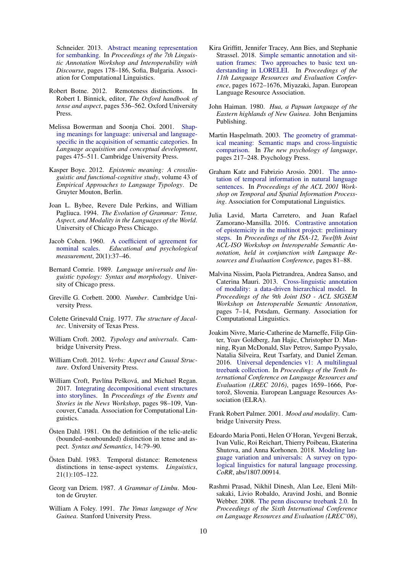Schneider. 2013. [Abstract meaning representation](https://www.aclweb.org/anthology/W13-2322) [for sembanking.](https://www.aclweb.org/anthology/W13-2322) In *Proceedings of the 7th Linguistic Annotation Workshop and Interoperability with Discourse*, pages 178–186, Sofia, Bulgaria. Association for Computational Linguistics.

- Robert Botne. 2012. Remoteness distinctions. In Robert I. Binnick, editor, *The Oxford handbook of tense and aspect*, pages 536–562. Oxford University Press.
- Melissa Bowerman and Soonja Choi. 2001. [Shap](https://pure.mpg.de/rest/items/item_194879/component/file_532258/content)[ing meanings for language: universal and language](https://pure.mpg.de/rest/items/item_194879/component/file_532258/content)[specific in the acquisition of semantic categories.](https://pure.mpg.de/rest/items/item_194879/component/file_532258/content) In *Language acquisition and conceptual development*, pages 475–511. Cambridge University Press.
- Kasper Boye. 2012. *Epistemic meaning: A crosslinguistic and functional-cognitive study*, volume 43 of *Empirical Approaches to Language Typology*. De Gruyter Mouton, Berlin.
- Joan L. Bybee, Revere Dale Perkins, and William Pagliuca. 1994. *The Evolution of Grammar: Tense, Aspect, and Modality in the Languages of the World*. University of Chicago Press Chicago.
- Jacob Cohen. 1960. [A coefficient of agreement for](http://citeseerx.ist.psu.edu/viewdoc/download?doi=10.1.1.1024.9753&rep=rep1&type=pdf) [nominal scales.](http://citeseerx.ist.psu.edu/viewdoc/download?doi=10.1.1.1024.9753&rep=rep1&type=pdf) *Educational and psychological measurement*, 20(1):37–46.
- Bernard Comrie. 1989. *Language universals and linguistic typology: Syntax and morphology*. University of Chicago press.
- Greville G. Corbett. 2000. *Number*. Cambridge University Press.
- Colette Grinevald Craig. 1977. *The structure of Jacaltec*. University of Texas Press.
- William Croft. 2002. *Typology and universals*. Cambridge University Press.
- William Croft. 2012. *Verbs: Aspect and Causal Structure*. Oxford University Press.
- William Croft, Pavlína Pešková, and Michael Regan. 2017. [Integrating decompositional event structures](https://doi.org/10.18653/v1/W17-2713) [into storylines.](https://doi.org/10.18653/v1/W17-2713) In *Proceedings of the Events and Stories in the News Workshop*, pages 98–109, Vancouver, Canada. Association for Computational Linguistics.
- $Ö$ sten Dahl. 1981. On the definition of the telic-atelic (bounded–nonbounded) distinction in tense and aspect. *Syntax and Semantics*, 14:79–90.
- Östen Dahl. 1983. Temporal distance: Remoteness distinctions in tense-aspect systems. *Linguistics*, 21(1):105–122.
- Georg van Driem. 1987. *A Grammar of Limbu*. Mouton de Gruyter.
- William A Foley. 1991. *The Yimas language of New Guinea*. Stanford University Press.
- Kira Griffitt, Jennifer Tracey, Ann Bies, and Stephanie Strassel. 2018. [Simple semantic annotation and sit](https://www.aclweb.org/anthology/L18-1265)[uation frames: Two approaches to basic text un](https://www.aclweb.org/anthology/L18-1265)[derstanding in LORELEI.](https://www.aclweb.org/anthology/L18-1265) In *Proceedings of the 11th Language Resources and Evaluation Conference*, pages 1672–1676, Miyazaki, Japan. European Language Resource Association.
- John Haiman. 1980. *Hua, a Papuan language of the Eastern highlands of New Guinea*. John Benjamins Publishing.
- Martin Haspelmath. 2003. [The geometry of grammat](http://citeseerx.ist.psu.edu/viewdoc/download?doi=10.1.1.465.7465&rep=rep1&type=pdf)[ical meaning: Semantic maps and cross-linguistic](http://citeseerx.ist.psu.edu/viewdoc/download?doi=10.1.1.465.7465&rep=rep1&type=pdf) [comparison.](http://citeseerx.ist.psu.edu/viewdoc/download?doi=10.1.1.465.7465&rep=rep1&type=pdf) In *The new psychology of language*, pages 217–248. Psychology Press.
- Graham Katz and Fabrizio Arosio. 2001. [The anno](https://www.aclweb.org/anthology/W01-1315)[tation of temporal information in natural language](https://www.aclweb.org/anthology/W01-1315) [sentences.](https://www.aclweb.org/anthology/W01-1315) In *Proceedings of the ACL 2001 Workshop on Temporal and Spatial Information Processing*. Association for Computational Linguistics.
- Julia Lavid, Marta Carretero, and Juan Rafael Zamorano-Mansilla. 2016. [Contrastive annotation](https://www.researchgate.net/profile/Julia_Lavid/publication/303939087_Contrastive_Annotation_of_Epistemicity_in_the_MULTINOT_Project_Preliminary_Steps/links/575f30b908aec91374b439b7/Contrastive-Annotation-of-Epistemicity-in-the-MULTINOT-Project-Preliminary-Steps.pdf) [of epistemicity in the multinot project: preliminary](https://www.researchgate.net/profile/Julia_Lavid/publication/303939087_Contrastive_Annotation_of_Epistemicity_in_the_MULTINOT_Project_Preliminary_Steps/links/575f30b908aec91374b439b7/Contrastive-Annotation-of-Epistemicity-in-the-MULTINOT-Project-Preliminary-Steps.pdf) [steps.](https://www.researchgate.net/profile/Julia_Lavid/publication/303939087_Contrastive_Annotation_of_Epistemicity_in_the_MULTINOT_Project_Preliminary_Steps/links/575f30b908aec91374b439b7/Contrastive-Annotation-of-Epistemicity-in-the-MULTINOT-Project-Preliminary-Steps.pdf) In *Proceedings of the ISA-12, Twelfth Joint ACL-ISO Workshop on Interoperable Semantic Annotation, held in conjunction with Language Resources and Evaluation Conference*, pages 81–88.
- Malvina Nissim, Paola Pietrandrea, Andrea Sanso, and Caterina Mauri. 2013. [Cross-linguistic annotation](https://www.aclweb.org/anthology/W13-0501) [of modality: a data-driven hierarchical model.](https://www.aclweb.org/anthology/W13-0501) In *Proceedings of the 9th Joint ISO - ACL SIGSEM Workshop on Interoperable Semantic Annotation*, pages 7–14, Potsdam, Germany. Association for Computational Linguistics.
- Joakim Nivre, Marie-Catherine de Marneffe, Filip Ginter, Yoav Goldberg, Jan Hajic, Christopher D. Manning, Ryan McDonald, Slav Petrov, Sampo Pyysalo, Natalia Silveira, Reut Tsarfaty, and Daniel Zeman. 2016. [Universal dependencies v1: A multilingual](https://www.aclweb.org/anthology/L16-1262) [treebank collection.](https://www.aclweb.org/anthology/L16-1262) In *Proceedings of the Tenth International Conference on Language Resources and Evaluation (LREC 2016)*, pages 1659–1666, Portorož, Slovenia. European Language Resources Association (ELRA).
- Frank Robert Palmer. 2001. *Mood and modality*. Cambridge University Press.
- Edoardo Maria Ponti, Helen O'Horan, Yevgeni Berzak, Ivan Vulic, Roi Reichart, Thierry Poibeau, Ekaterina Shutova, and Anna Korhonen. 2018. [Modeling lan](http://arxiv.org/abs/1807.00914)[guage variation and universals: A survey on typo](http://arxiv.org/abs/1807.00914)[logical linguistics for natural language processing.](http://arxiv.org/abs/1807.00914) *CoRR*, abs/1807.00914.
- Rashmi Prasad, Nikhil Dinesh, Alan Lee, Eleni Miltsakaki, Livio Robaldo, Aravind Joshi, and Bonnie Webber. 2008. [The penn discourse treebank 2.0.](http://www.lrec-conf.org/proceedings/lrec2008/pdf/754_paper.pdf) In *Proceedings of the Sixth International Conference on Language Resources and Evaluation (LREC'08)*,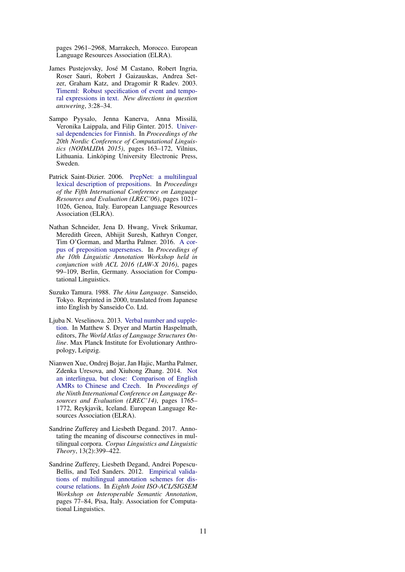pages 2961–2968, Marrakech, Morocco. European Language Resources Association (ELRA).

- James Pustejovsky, Jose M Castano, Robert Ingria, ´ Roser Sauri, Robert J Gaizauskas, Andrea Setzer, Graham Katz, and Dragomir R Radev. 2003. [Timeml: Robust specification of event and tempo](https://www.aaai.org/Papers/Symposia/Spring/2003/SS-03-07/SS03-07-005.pdf)[ral expressions in text.](https://www.aaai.org/Papers/Symposia/Spring/2003/SS-03-07/SS03-07-005.pdf) *New directions in question answering*, 3:28–34.
- Sampo Pyysalo, Jenna Kanerva, Anna Missilä, Veronika Laippala, and Filip Ginter. 2015. [Univer](https://www.aclweb.org/anthology/W15-1821)[sal dependencies for Finnish.](https://www.aclweb.org/anthology/W15-1821) In *Proceedings of the 20th Nordic Conference of Computational Linguistics (NODALIDA 2015)*, pages 163–172, Vilnius, Lithuania. Linköping University Electronic Press, Sweden.
- Patrick Saint-Dizier. 2006. [PrepNet: a multilingual](http://www.lrec-conf.org/proceedings/lrec2006/pdf/45_pdf.pdf) [lexical description of prepositions.](http://www.lrec-conf.org/proceedings/lrec2006/pdf/45_pdf.pdf) In *Proceedings of the Fifth International Conference on Language Resources and Evaluation (LREC'06)*, pages 1021– 1026, Genoa, Italy. European Language Resources Association (ELRA).
- Nathan Schneider, Jena D. Hwang, Vivek Srikumar, Meredith Green, Abhijit Suresh, Kathryn Conger, Tim O'Gorman, and Martha Palmer. 2016. [A cor](https://doi.org/10.18653/v1/W16-1712)[pus of preposition supersenses.](https://doi.org/10.18653/v1/W16-1712) In *Proceedings of the 10th Linguistic Annotation Workshop held in conjunction with ACL 2016 (LAW-X 2016)*, pages 99–109, Berlin, Germany. Association for Computational Linguistics.
- Suzuko Tamura. 1988. *The Ainu Language*. Sanseido, Tokyo. Reprinted in 2000, translated from Japanese into English by Sanseido Co. Ltd.
- Ljuba N. Veselinova. 2013. [Verbal number and supple](https://wals.info/chapter/80)[tion.](https://wals.info/chapter/80) In Matthew S. Dryer and Martin Haspelmath, editors, *The World Atlas of Language Structures Online*. Max Planck Institute for Evolutionary Anthropology, Leipzig.
- Nianwen Xue, Ondrej Bojar, Jan Hajic, Martha Palmer, Zdenka Uresova, and Xiuhong Zhang. 2014. [Not](http://www.lrec-conf.org/proceedings/lrec2014/pdf/384_Paper.pdf) [an interlingua, but close: Comparison of English](http://www.lrec-conf.org/proceedings/lrec2014/pdf/384_Paper.pdf) [AMRs to Chinese and Czech.](http://www.lrec-conf.org/proceedings/lrec2014/pdf/384_Paper.pdf) In *Proceedings of the Ninth International Conference on Language Resources and Evaluation (LREC'14)*, pages 1765– 1772, Reykjavik, Iceland. European Language Resources Association (ELRA).
- Sandrine Zufferey and Liesbeth Degand. 2017. Annotating the meaning of discourse connectives in multilingual corpora. *Corpus Linguistics and Linguistic Theory*, 13(2):399–422.
- Sandrine Zufferey, Liesbeth Degand, Andrei Popescu-Bellis, and Ted Sanders. 2012. [Empirical valida](https://sigsem.uvt.nl/isa8/isa8_submission_4-2.pdf)[tions of multilingual annotation schemes for dis](https://sigsem.uvt.nl/isa8/isa8_submission_4-2.pdf)[course relations.](https://sigsem.uvt.nl/isa8/isa8_submission_4-2.pdf) In *Eighth Joint ISO-ACL/SIGSEM Workshop on Interoperable Semantic Annotation*, pages 77–84, Pisa, Italy. Association for Computational Linguistics.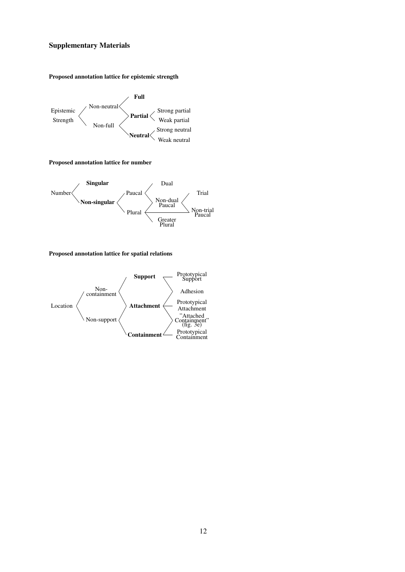## Supplementary Materials

#### Proposed annotation lattice for epistemic strength



Proposed annotation lattice for number



#### Proposed annotation lattice for spatial relations

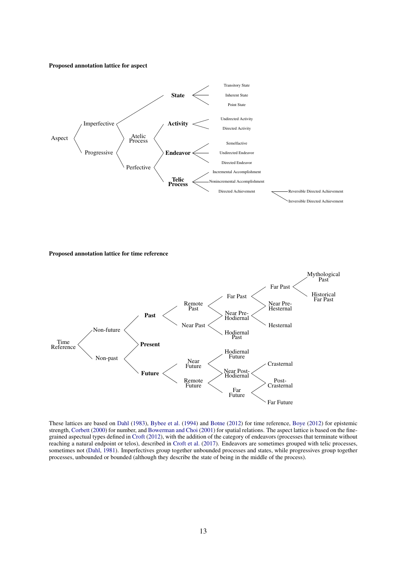#### Proposed annotation lattice for aspect



Proposed annotation lattice for time reference



These lattices are based on Dahl (1983), Bybee et al. (1994) and Botne (2012) for time reference, Boye (2012) for epistemic strength, Corbett (2000) for number, and Bowerman and Choi (2001) for spatial relations. The aspect lattice is based on the finegrained aspectual types defined in Croft (2012), with the addition of the category of endeavors (processes that terminate without reaching a natural endpoint or telos), described in Croft et al. (2017). Endeavors are sometimes grouped with telic processes, sometimes not (Dahl, 1981). Imperfectives group together unbounded processes and states, while progressives group together processes, unbounded or bounded (although they describe the state of being in the middle of the process).